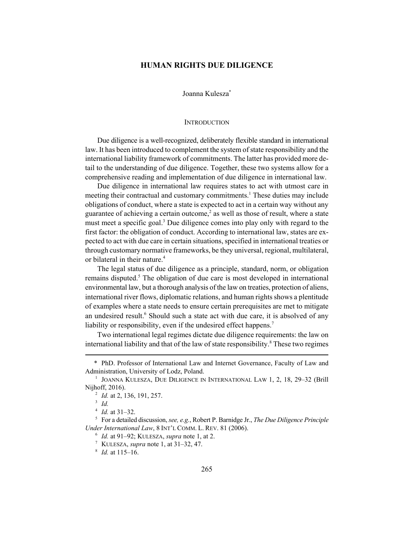# **HUMAN RIGHTS DUE DILIGENCE**

Joanna Kulesza\*

#### **INTRODUCTION**

Due diligence is a well-recognized, deliberately flexible standard in international law. It has been introduced to complement the system of state responsibility and the international liability framework of commitments. The latter has provided more detail to the understanding of due diligence. Together, these two systems allow for a comprehensive reading and implementation of due diligence in international law.

Due diligence in international law requires states to act with utmost care in meeting their contractual and customary commitments.<sup>1</sup> These duties may include obligations of conduct, where a state is expected to act in a certain way without any guarantee of achieving a certain outcome,<sup>2</sup> as well as those of result, where a state must meet a specific goal.<sup>3</sup> Due diligence comes into play only with regard to the first factor: the obligation of conduct. According to international law, states are expected to act with due care in certain situations, specified in international treaties or through customary normative frameworks, be they universal, regional, multilateral, or bilateral in their nature.<sup>4</sup>

The legal status of due diligence as a principle, standard, norm, or obligation remains disputed.<sup>5</sup> The obligation of due care is most developed in international environmental law, but a thorough analysis of the law on treaties, protection of aliens, international river flows, diplomatic relations, and human rights shows a plentitude of examples where a state needs to ensure certain prerequisites are met to mitigate an undesired result.<sup>6</sup> Should such a state act with due care, it is absolved of any liability or responsibility, even if the undesired effect happens.<sup>7</sup>

Two international legal regimes dictate due diligence requirements: the law on international liability and that of the law of state responsibility.<sup>8</sup> These two regimes

<sup>\*</sup> PhD. Professor of International Law and Internet Governance, Faculty of Law and Administration, University of Lodz, Poland.

<sup>&</sup>lt;sup>1</sup> JOANNA KULESZA, DUE DILIGENCE IN INTERNATIONAL LAW 1, 2, 18, 29-32 (Brill Nijhoff, 2016).

<sup>2</sup> *Id.* at 2, 136, 191, 257.

<sup>3</sup> *Id.*

<sup>4</sup> *Id.* at 31–32.

<sup>5</sup> For a detailed discussion, *see, e.g.*, Robert P. Barnidge Jr., *The Due Diligence Principle Under International Law*, 8 INT'L COMM. L. REV. 81 (2006).

<sup>6</sup> *Id.* at 91–92; KULESZA, *supra* note 1, at 2.

<sup>7</sup> KULESZA, *supra* note 1, at 31–32, 47.

<sup>8</sup> *Id.* at 115–16.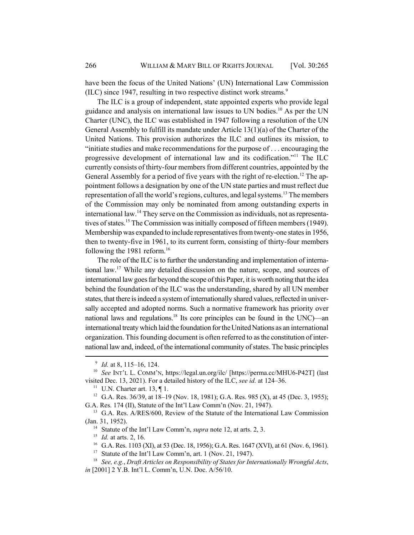have been the focus of the United Nations' (UN) International Law Commission (ILC) since 1947, resulting in two respective distinct work streams.<sup>9</sup>

The ILC is a group of independent, state appointed experts who provide legal guidance and analysis on international law issues to UN bodies.10 As per the UN Charter (UNC), the ILC was established in 1947 following a resolution of the UN General Assembly to fulfill its mandate under Article 13(1)(a) of the Charter of the United Nations. This provision authorizes the ILC and outlines its mission, to "initiate studies and make recommendations for the purpose of . . . encouraging the progressive development of international law and its codification."11 The ILC currently consists of thirty-four members from different countries, appointed by the General Assembly for a period of five years with the right of re-election.<sup>12</sup> The appointment follows a designation by one of the UN state parties and must reflect due representation of all the world's regions, cultures, and legal systems.<sup>13</sup> The members of the Commission may only be nominated from among outstanding experts in international law.<sup>14</sup> They serve on the Commission as individuals, not as representatives of states.<sup>15</sup> The Commission was initially composed of fifteen members (1949). Membership was expanded to include representatives from twenty-one states in 1956, then to twenty-five in 1961, to its current form, consisting of thirty-four members following the 1981 reform.<sup>16</sup>

The role of the ILC is to further the understanding and implementation of international law.17 While any detailed discussion on the nature, scope, and sources of international law goes far beyond the scope of this Paper, it is worth noting that the idea behind the foundation of the ILC was the understanding, shared by all UN member states, that there is indeed a system of internationally shared values, reflected in universally accepted and adopted norms. Such a normative framework has priority over national laws and regulations.<sup>18</sup> Its core principles can be found in the UNC)—an international treaty which laid the foundation for the United Nations as an international organization. This founding document is often referred to as the constitution of international law and, indeed, of the international community of states. The basic principles

<sup>9</sup> *Id.* at 8, 115–16, 124.

<sup>10</sup> *See* INT'L L. COMM'N, https://legal.un.org/ilc/ [https://perma.cc/MHU6-P42T] (last visited Dec. 13, 2021). For a detailed history of the ILC, *see id.* at 124–36.

<sup>&</sup>lt;sup>11</sup> U.N. Charter art. 13,  $\P$  1.

<sup>&</sup>lt;sup>12</sup> G.A. Res. 36/39, at 18–19 (Nov. 18, 1981); G.A. Res. 985 (X), at 45 (Dec. 3, 1955); G.A. Res. 174 (II), Statute of the Int'l Law Comm'n (Nov. 21, 1947).

<sup>&</sup>lt;sup>13</sup> G.A. Res. A/RES/600, Review of the Statute of the International Law Commission (Jan. 31, 1952).

<sup>14</sup> Statute of the Int'l Law Comm'n, *supra* note 12, at arts. 2, 3.

<sup>15</sup> *Id.* at arts. 2, 16.

<sup>&</sup>lt;sup>16</sup> G.A. Res. 1103 (XI), at 53 (Dec. 18, 1956); G.A. Res. 1647 (XVI), at 61 (Nov. 6, 1961).

<sup>&</sup>lt;sup>17</sup> Statute of the Int'l Law Comm'n, art. 1 (Nov. 21, 1947).

<sup>18</sup> *See, e.g.*, *Draft Articles on Responsibility of States for Internationally Wrongful Acts*, *in* [2001] 2 Y.B. Int'l L. Comm'n, U.N. Doc. A/56/10.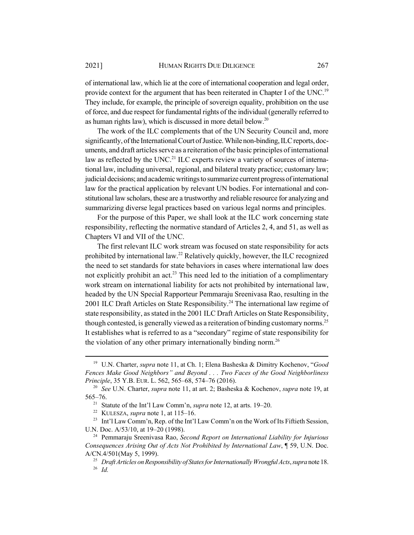of international law, which lie at the core of international cooperation and legal order, provide context for the argument that has been reiterated in Chapter I of the UNC.<sup>19</sup> They include, for example, the principle of sovereign equality, prohibition on the use of force, and due respect for fundamental rights of the individual (generally referred to as human rights law), which is discussed in more detail below.<sup>20</sup>

The work of the ILC complements that of the UN Security Council and, more significantly, of the International Court of Justice. While non-binding, ILC reports, documents, and draft articles serve as a reiteration of the basic principles of international law as reflected by the UNC.<sup>21</sup> ILC experts review a variety of sources of international law, including universal, regional, and bilateral treaty practice; customary law; judicial decisions; and academic writings to summarize current progress of international law for the practical application by relevant UN bodies. For international and constitutional law scholars, these are a trustworthy and reliable resource for analyzing and summarizing diverse legal practices based on various legal norms and principles.

For the purpose of this Paper, we shall look at the ILC work concerning state responsibility, reflecting the normative standard of Articles 2, 4, and 51, as well as Chapters VI and VII of the UNC.

The first relevant ILC work stream was focused on state responsibility for acts prohibited by international law.22 Relatively quickly, however, the ILC recognized the need to set standards for state behaviors in cases where international law does not explicitly prohibit an  $act^{23}$  This need led to the initiation of a complimentary work stream on international liability for acts not prohibited by international law, headed by the UN Special Rapporteur Pemmaraju Sreenivasa Rao, resulting in the 2001 ILC Draft Articles on State Responsibility.<sup>24</sup> The international law regime of state responsibility, as stated in the 2001 ILC Draft Articles on State Responsibility, though contested, is generally viewed as a reiteration of binding customary norms.<sup>25</sup> It establishes what is referred to as a "secondary" regime of state responsibility for the violation of any other primary internationally binding norm.<sup>26</sup>

<sup>19</sup> U.N. Charter, *supra* note 11, at Ch. 1; Elena Basheska & Dimitry Kochenov, "*Good Fences Make Good Neighbors" and Beyond . . . Two Faces of the Good Neighborliness Principle*, 35 Y.B. EUR. L. 562, 565–68, 574–76 (2016).

<sup>20</sup> *See* U.N. Charter, *supra* note 11, at art. 2; Basheska & Kochenov, *supra* note 19, at 565–76.

<sup>21</sup> Statute of the Int'l Law Comm'n, *supra* note 12, at arts. 19–20.

<sup>22</sup> KULESZA, *supra* note 1, at 115–16.

<sup>&</sup>lt;sup>23</sup> Int'l Law Comm'n, Rep. of the Int'l Law Comm'n on the Work of Its Fiftieth Session, U.N. Doc. A/53/10, at 19–20 (1998).

<sup>24</sup> Pemmaraju Sreenivasa Rao, *Second Report on International Liability for Injurious Consequences Arising Out of Acts Not Prohibited by International Law*, ¶ 59, U.N. Doc. A/CN.4/501(May 5, 1999).

<sup>&</sup>lt;sup>25</sup> *Draft Articles on Responsibility of States for Internationally Wrongful Acts, supra* note 18. <sup>26</sup> *Id.*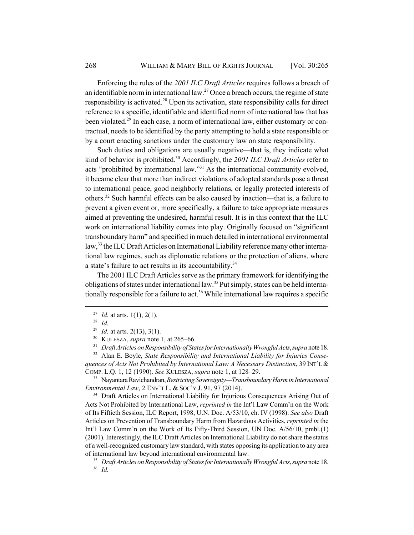Enforcing the rules of the *2001 ILC Draft Articles* requires follows a breach of an identifiable norm in international law.<sup>27</sup> Once a breach occurs, the regime of state responsibility is activated.<sup>28</sup> Upon its activation, state responsibility calls for direct reference to a specific, identifiable and identified norm of international law that has been violated.<sup>29</sup> In each case, a norm of international law, either customary or contractual, needs to be identified by the party attempting to hold a state responsible or by a court enacting sanctions under the customary law on state responsibility.

Such duties and obligations are usually negative—that is, they indicate what kind of behavior is prohibited.30 Accordingly, the *2001 ILC Draft Articles* refer to acts "prohibited by international law."31 As the international community evolved, it became clear that more than indirect violations of adopted standards pose a threat to international peace, good neighborly relations, or legally protected interests of others.32 Such harmful effects can be also caused by inaction—that is, a failure to prevent a given event or, more specifically, a failure to take appropriate measures aimed at preventing the undesired, harmful result. It is in this context that the ILC work on international liability comes into play. Originally focused on "significant transboundary harm" and specified in much detailed in international environmental law,<sup>33</sup> the ILC Draft Articles on International Liability reference many other international law regimes, such as diplomatic relations or the protection of aliens, where a state's failure to act results in its accountability.<sup>34</sup>

The 2001 ILC Draft Articles serve as the primary framework for identifying the obligations of states under international law.<sup>35</sup> Put simply, states can be held internationally responsible for a failure to act.<sup>36</sup> While international law requires a specific

<sup>33</sup> Nayantara Ravichandran, *Restricting Sovereignty—Transboundary Harm in International Environmental Law*, 2 ENV'T L. & SOC'Y J. 91, 97 (2014).

<sup>34</sup> Draft Articles on International Liability for Injurious Consequences Arising Out of Acts Not Prohibited by International Law, *reprinted in* the Int'l Law Comm'n on the Work of Its Fiftieth Session, ILC Report, 1998, U.N. Doc. A/53/10, ch. IV (1998). *See also* Draft Articles on Prevention of Transboundary Harm from Hazardous Activities, *reprinted in* the Int'l Law Comm'n on the Work of Its Fifty-Third Session, UN Doc. A/56/10, pmbl.(1) (2001). Interestingly, the ILC Draft Articles on International Liability do not share the status of a well-recognized customary law standard, with states opposing its application to any area of international law beyond international environmental law.

<sup>&</sup>lt;sup>27</sup> *Id.* at arts. 1(1), 2(1).

<sup>28</sup> *Id.*

<sup>29</sup> *Id.* at arts. 2(13), 3(1).

<sup>30</sup> KULESZA, *supra* note 1, at 265–66.

<sup>&</sup>lt;sup>31</sup> *Draft Articles on Responsibility of States for Internationally Wrongful Acts, supra* note 18.

<sup>32</sup> Alan E. Boyle, *State Responsibility and International Liability for Injuries Consequences of Acts Not Prohibited by International Law: A Necessary Distinction*, 39 INT'L & COMP. L.Q. 1, 12 (1990). *See* KULESZA, *supra* note 1, at 128–29.

<sup>35</sup> *Draft Articles on Responsibility of States for Internationally Wrongful Acts*, *supra* note 18. <sup>36</sup> *Id.*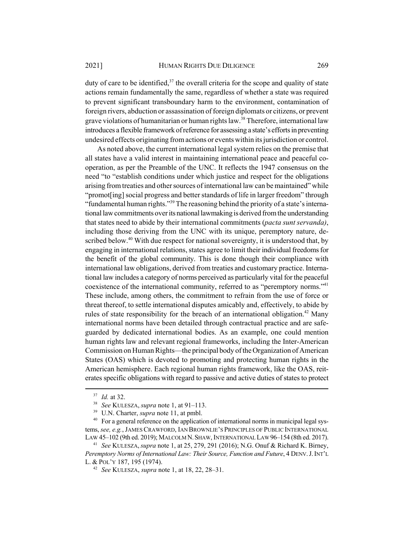duty of care to be identified, $37$  the overall criteria for the scope and quality of state actions remain fundamentally the same, regardless of whether a state was required to prevent significant transboundary harm to the environment, contamination of foreign rivers, abduction or assassination of foreign diplomats or citizens, or prevent grave violations of humanitarian or human rights law.<sup>38</sup> Therefore, international law introduces a flexible framework of reference for assessing a state's efforts in preventing undesired effects originating from actions or events within its jurisdiction or control.

As noted above, the current international legal system relies on the premise that all states have a valid interest in maintaining international peace and peaceful cooperation, as per the Preamble of the UNC. It reflects the 1947 consensus on the need "to "establish conditions under which justice and respect for the obligations arising from treaties and other sources of international law can be maintained" while "promot[ing] social progress and better standards of life in larger freedom" through "fundamental human rights."39 The reasoning behind the priority of a state's international law commitments over its national lawmaking is derived from the understanding that states need to abide by their international commitments (*pacta sunt servanda)*, including those deriving from the UNC with its unique, peremptory nature, described below.<sup>40</sup> With due respect for national sovereignty, it is understood that, by engaging in international relations, states agree to limit their individual freedoms for the benefit of the global community. This is done though their compliance with international law obligations, derived from treaties and customary practice. International law includes a category of norms perceived as particularly vital for the peaceful coexistence of the international community, referred to as "peremptory norms."<sup>41</sup> These include, among others, the commitment to refrain from the use of force or threat thereof, to settle international disputes amicably and, effectively, to abide by rules of state responsibility for the breach of an international obligation.<sup>42</sup> Many international norms have been detailed through contractual practice and are safeguarded by dedicated international bodies. As an example, one could mention human rights law and relevant regional frameworks, including the Inter-American Commission on Human Rights—the principal body of the Organization of American States (OAS) which is devoted to promoting and protecting human rights in the American hemisphere. Each regional human rights framework, like the OAS, reiterates specific obligations with regard to passive and active duties of states to protect

<sup>37</sup> *Id.* at 32.

<sup>38</sup> *See* KULESZA, *supra* note 1, at 91–113.

<sup>39</sup> U.N. Charter, *supra* note 11, at pmbl.

<sup>&</sup>lt;sup>40</sup> For a general reference on the application of international norms in municipal legal systems, *see, e.g.*, JAMES CRAWFORD, IAN BROWNLIE'S PRINCIPLES OF PUBLIC INTERNATIONAL LAW 45–102 (9th ed. 2019); MALCOLM N.SHAW, INTERNATIONAL LAW 96–154 (8th ed. 2017).

<sup>41</sup> *See* KULESZA,*supra* note 1, at 25, 279, 291 (2016); N.G. Onuf & Richard K. Birney, *Peremptory Norms of International Law: Their Source, Function and Future*, 4 DENV.J.INT'L L. & POL'Y 187, 195 (1974).

<sup>42</sup> *See* KULESZA, *supra* note 1, at 18, 22, 28–31.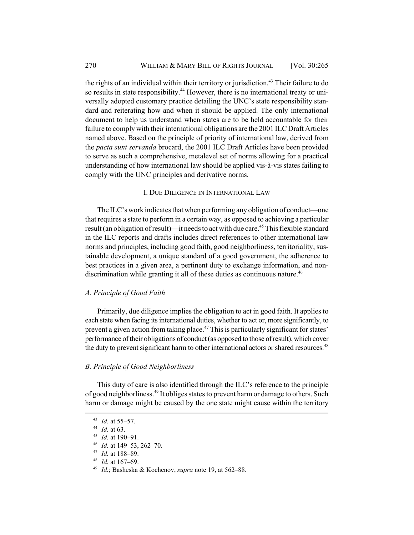the rights of an individual within their territory or jurisdiction.<sup>43</sup> Their failure to do so results in state responsibility.<sup>44</sup> However, there is no international treaty or universally adopted customary practice detailing the UNC's state responsibility standard and reiterating how and when it should be applied. The only international document to help us understand when states are to be held accountable for their failure to comply with their international obligations are the 2001 ILC Draft Articles named above. Based on the principle of priority of international law, derived from the *pacta sunt servanda* brocard, the 2001 ILC Draft Articles have been provided to serve as such a comprehensive, metalevel set of norms allowing for a practical understanding of how international law should be applied vis-à-vis states failing to comply with the UNC principles and derivative norms.

#### I. DUE DILIGENCE IN INTERNATIONAL LAW

The ILC's work indicates that when performing any obligation of conduct—one that requires a state to perform in a certain way, as opposed to achieving a particular result (an obligation of result)—it needs to act with due care.<sup>45</sup> This flexible standard in the ILC reports and drafts includes direct references to other international law norms and principles, including good faith, good neighborliness, territoriality, sustainable development, a unique standard of a good government, the adherence to best practices in a given area, a pertinent duty to exchange information, and nondiscrimination while granting it all of these duties as continuous nature.<sup>46</sup>

#### *A. Principle of Good Faith*

Primarily, due diligence implies the obligation to act in good faith. It applies to each state when facing its international duties, whether to act or, more significantly, to prevent a given action from taking place.<sup>47</sup> This is particularly significant for states' performance of their obligations of conduct (as opposed to those of result), which cover the duty to prevent significant harm to other international actors or shared resources.<sup>48</sup>

### *B. Principle of Good Neighborliness*

This duty of care is also identified through the ILC's reference to the principle of good neighborliness.49 It obliges states to prevent harm or damage to others. Such harm or damage might be caused by the one state might cause within the territory

<sup>43</sup> *Id.* at 55–57.

<sup>44</sup> *Id.* at 63.

<sup>45</sup> *Id.* at 190–91.

<sup>46</sup> *Id.* at 149–53, 262–70.

<sup>47</sup> *Id.* at 188–89.

<sup>48</sup> *Id.* at 167–69.

<sup>49</sup> *Id.*; Basheska & Kochenov, *supra* note 19, at 562–88.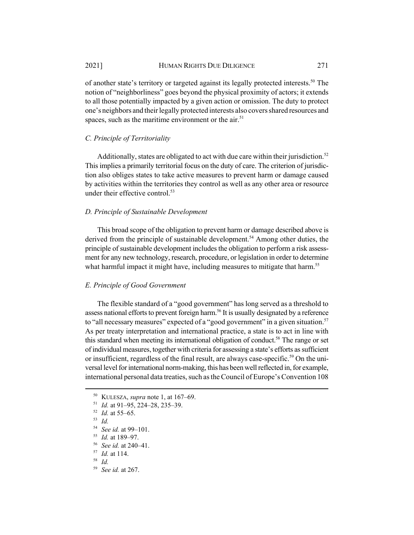of another state's territory or targeted against its legally protected interests.<sup>50</sup> The notion of "neighborliness" goes beyond the physical proximity of actors; it extends to all those potentially impacted by a given action or omission. The duty to protect one's neighbors and their legally protected interests also covers shared resources and spaces, such as the maritime environment or the  $air$ <sup>51</sup>

# *C. Principle of Territoriality*

Additionally, states are obligated to act with due care within their jurisdiction.<sup>52</sup> This implies a primarily territorial focus on the duty of care. The criterion of jurisdiction also obliges states to take active measures to prevent harm or damage caused by activities within the territories they control as well as any other area or resource under their effective control. $53$ 

# *D. Principle of Sustainable Development*

This broad scope of the obligation to prevent harm or damage described above is derived from the principle of sustainable development.<sup>54</sup> Among other duties, the principle of sustainable development includes the obligation to perform a risk assessment for any new technology, research, procedure, or legislation in order to determine what harmful impact it might have, including measures to mitigate that harm.<sup>55</sup>

## *E. Principle of Good Government*

The flexible standard of a "good government" has long served as a threshold to assess national efforts to prevent foreign harm.<sup>56</sup> It is usually designated by a reference to "all necessary measures" expected of a "good government" in a given situation.<sup>57</sup> As per treaty interpretation and international practice, a state is to act in line with this standard when meeting its international obligation of conduct.<sup>58</sup> The range or set of individual measures, together with criteria for assessing a state's efforts as sufficient or insufficient, regardless of the final result, are always case-specific.<sup>59</sup> On the universal level for international norm-making, this has been well reflected in, for example, international personal data treaties, such as the Council of Europe's Convention 108

<sup>50</sup> KULESZA, *supra* note 1, at 167–69.

<sup>51</sup> *Id.* at 91–95, 224–28, 235–39.

<sup>52</sup> *Id.* at 55–65.

<sup>53</sup> *Id.*

<sup>54</sup> *See id.* at 99–101.

<sup>55</sup> *Id.* at 189–97.

<sup>56</sup> *See id.* at 240–41.

<sup>57</sup> *Id.* at 114.

<sup>58</sup> *Id.*

<sup>59</sup> *See id.* at 267.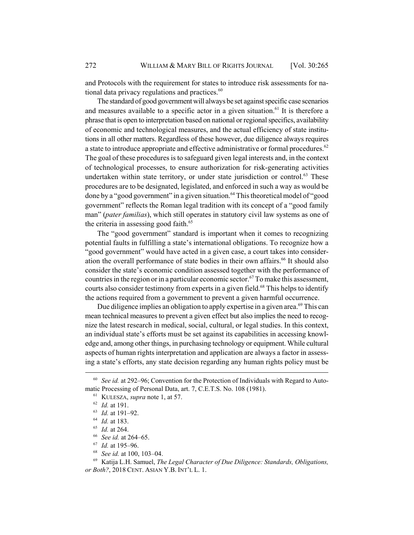and Protocols with the requirement for states to introduce risk assessments for national data privacy regulations and practices. $60$ 

The standard of good government will always be set against specific case scenarios and measures available to a specific actor in a given situation.<sup>61</sup> It is therefore a phrase that is open to interpretation based on national or regional specifics, availability of economic and technological measures, and the actual efficiency of state institutions in all other matters. Regardless of these however, due diligence always requires a state to introduce appropriate and effective administrative or formal procedures.<sup>62</sup> The goal of these procedures is to safeguard given legal interests and, in the context of technological processes, to ensure authorization for risk-generating activities undertaken within state territory, or under state jurisdiction or control. $63$  These procedures are to be designated, legislated, and enforced in such a way as would be done by a "good government" in a given situation.<sup>64</sup> This theoretical model of "good government" reflects the Roman legal tradition with its concept of a "good family man" (*pater familias*), which still operates in statutory civil law systems as one of the criteria in assessing good faith.<sup>65</sup>

The "good government" standard is important when it comes to recognizing potential faults in fulfilling a state's international obligations. To recognize how a "good government" would have acted in a given case, a court takes into consideration the overall performance of state bodies in their own affairs.<sup>66</sup> It should also consider the state's economic condition assessed together with the performance of countries in the region or in a particular economic sector.<sup>67</sup> To make this assessment, courts also consider testimony from experts in a given field.<sup>68</sup> This helps to identify the actions required from a government to prevent a given harmful occurrence.

Due diligence implies an obligation to apply expertise in a given area.<sup>69</sup> This can mean technical measures to prevent a given effect but also implies the need to recognize the latest research in medical, social, cultural, or legal studies. In this context, an individual state's efforts must be set against its capabilities in accessing knowledge and, among other things, in purchasing technology or equipment. While cultural aspects of human rights interpretation and application are always a factor in assessing a state's efforts, any state decision regarding any human rights policy must be

<sup>68</sup> *See id.* at 100, 103–04.

<sup>69</sup> Katija L.H. Samuel, *The Legal Character of Due Diligence: Standards, Obligations, or Both?*, 2018 CENT. ASIAN Y.B. INT'L L. 1.

<sup>60</sup> *See id.* at 292–96; Convention for the Protection of Individuals with Regard to Automatic Processing of Personal Data, art. 7, C.E.T.S. No. 108 (1981).

<sup>61</sup> KULESZA, *supra* note 1, at 57.

<sup>62</sup> *Id.* at 191.

<sup>63</sup> *Id.* at 191–92.

<sup>64</sup> *Id.* at 183.

<sup>65</sup> *Id.* at 264.

<sup>66</sup> *See id.* at 264–65.

<sup>67</sup> *Id.* at 195–96.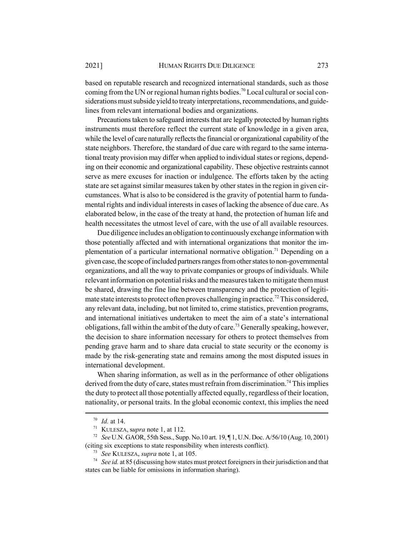based on reputable research and recognized international standards, such as those coming from the UN or regional human rights bodies.<sup>70</sup> Local cultural or social considerations must subside yield to treaty interpretations, recommendations, and guidelines from relevant international bodies and organizations.

Precautions taken to safeguard interests that are legally protected by human rights instruments must therefore reflect the current state of knowledge in a given area, while the level of care naturally reflects the financial or organizational capability of the state neighbors. Therefore, the standard of due care with regard to the same international treaty provision may differ when applied to individual states or regions, depending on their economic and organizational capability. These objective restraints cannot serve as mere excuses for inaction or indulgence. The efforts taken by the acting state are set against similar measures taken by other states in the region in given circumstances. What is also to be considered is the gravity of potential harm to fundamental rights and individual interests in cases of lacking the absence of due care. As elaborated below, in the case of the treaty at hand, the protection of human life and health necessitates the utmost level of care, with the use of all available resources.

Due diligence includes an obligation to continuously exchange information with those potentially affected and with international organizations that monitor the implementation of a particular international normative obligation.<sup>71</sup> Depending on a given case, the scope of included partners ranges from other states to non-governmental organizations, and all the way to private companies or groups of individuals. While relevant information on potential risks and the measures taken to mitigate them must be shared, drawing the fine line between transparency and the protection of legitimate state interests to protect often proves challenging in practice.<sup>72</sup> This considered, any relevant data, including, but not limited to, crime statistics, prevention programs, and international initiatives undertaken to meet the aim of a state's international obligations, fall within the ambit of the duty of care.<sup>73</sup> Generally speaking, however, the decision to share information necessary for others to protect themselves from pending grave harm and to share data crucial to state security or the economy is made by the risk-generating state and remains among the most disputed issues in international development.

When sharing information, as well as in the performance of other obligations derived from the duty of care, states must refrain from discrimination.<sup>74</sup> This implies the duty to protect all those potentially affected equally, regardless of their location, nationality, or personal traits. In the global economic context, this implies the need

<sup>70</sup> *Id.* at 14.

<sup>71</sup> KULESZA, s*upra* note 1, at 112.

<sup>72</sup> *See* U.N. GAOR, 55th Sess., Supp. No.10 art. 19, ¶ 1, U.N. Doc. A/56/10 (Aug. 10, 2001) (citing six exceptions to state responsibility when interests conflict).

<sup>73</sup> *See* KULESZA, *supra* note 1, at 105.

<sup>&</sup>lt;sup>74</sup> *See id.* at 85 (discussing how states must protect foreigners in their jurisdiction and that states can be liable for omissions in information sharing).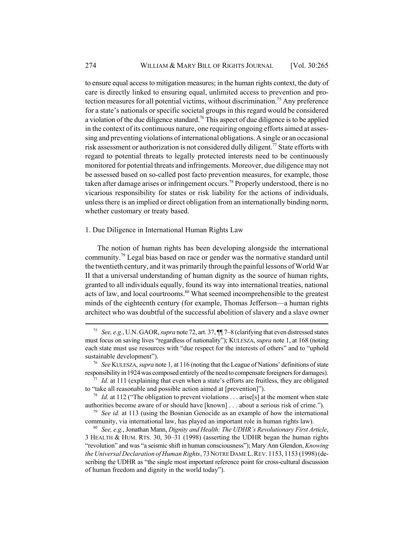to ensure equal access to mitigation measures; in the human rights context, the duty of care is directly linked to ensuring equal, unlimited access to prevention and protection measures for all potential victims, without discrimination.75 Any preference for a state's nationals or specific societal groups in this regard would be considered a violation of the due diligence standard.<sup>76</sup> This aspect of due diligence is to be applied in the context of its continuous nature, one requiring ongoing efforts aimed at assessing and preventing violations of international obligations. A single or an occasional risk assessment or authorization is not considered dully diligent.<sup>77</sup> State efforts with regard to potential threats to legally protected interests need to be continuously monitored for potential threats and infringements. Moreover, due diligence may not be assessed based on so-called post facto prevention measures, for example, those taken after damage arises or infringement occurs.78 Properly understood, there is no vicarious responsibility for states or risk liability for the actions of individuals, unless there is an implied or direct obligation from an internationally binding norm, whether customary or treaty based.

#### 1. Due Diligence in International Human Rights Law

The notion of human rights has been developing alongside the international community.<sup>79</sup> Legal bias based on race or gender was the normative standard until the twentieth century, and it was primarily through the painful lessons of World War II that a universal understanding of human dignity as the source of human rights, granted to all individuals equally, found its way into international treaties, national acts of law, and local courtrooms.<sup>80</sup> What seemed incomprehensible to the greatest minds of the eighteenth century (for example, Thomas Jefferson—a human rights architect who was doubtful of the successful abolition of slavery and a slave owner

<sup>75</sup> *See, e.g.*, U.N. GAOR, *supra* note 72, art. 37, ¶¶ 7–8 (clarifying that even distressed states must focus on saving lives "regardless of nationality"); KULESZA, *supra* note 1, at 168 (noting each state must use resources with "due respect for the interests of others" and to "uphold sustainable development").

<sup>76</sup> *See* KULESZA, *supra* note 1, at 116 (noting that the League of Nations' definitions of state responsibility in 1924 was composed entirely of the need to compensate foreigners for damages).

<sup>77</sup> *Id.* at 111 (explaining that even when a state's efforts are fruitless, they are obligated to "take all reasonable and possible action aimed at [prevention]").

<sup>&</sup>lt;sup>78</sup> *Id.* at 112 ("The obligation to prevent violations . . . arise[s] at the moment when state authorities become aware of or should have [known] . . . about a serious risk of crime.").

<sup>79</sup> *See id.* at 113 (using the Bosnian Genocide as an example of how the international community, via international law, has played an important role in human rights law).

<sup>80</sup> *See, e.g.*, Jonathan Mann, *Dignity and Health: The UDHR's Revolutionary First Article*, 3 HEALTH & HUM. RTS. 30, 30–31 (1998) (asserting the UDHR began the human rights "revolution" and was "a seismic shift in human consciousness"); Mary Ann Glendon, *Knowing the Universal Declaration of Human Rights*, 73NOTRE DAME L.REV. 1153, 1153 (1998) (describing the UDHR as "the single most important reference point for cross-cultural discussion of human freedom and dignity in the world today").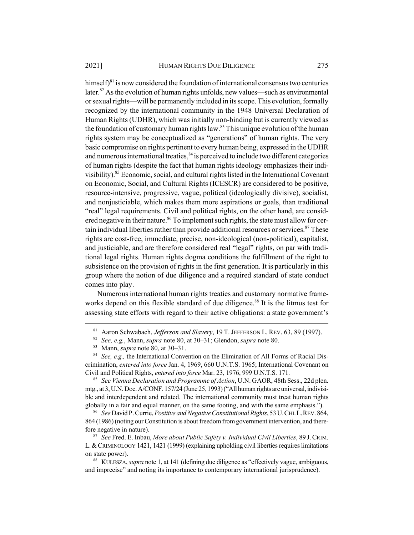himsel $f$ <sup>81</sup> is now considered the foundation of international consensus two centuries later.<sup>82</sup> As the evolution of human rights unfolds, new values—such as environmental or sexual rights—will be permanently included in its scope. This evolution, formally recognized by the international community in the 1948 Universal Declaration of Human Rights (UDHR), which was initially non-binding but is currently viewed as the foundation of customary human rights law.<sup>83</sup> This unique evolution of the human rights system may be conceptualized as "generations" of human rights. The very basic compromise on rights pertinent to every human being, expressed in the UDHR and numerous international treaties, $84$  is perceived to include two different categories of human rights (despite the fact that human rights ideology emphasizes their indivisibility).<sup>85</sup> Economic, social, and cultural rights listed in the International Covenant on Economic, Social, and Cultural Rights (ICESCR) are considered to be positive, resource-intensive, progressive, vague, political (ideologically divisive), socialist, and nonjusticiable, which makes them more aspirations or goals, than traditional "real" legal requirements. Civil and political rights, on the other hand, are considered negative in their nature.<sup>86</sup> To implement such rights, the state must allow for certain individual liberties rather than provide additional resources or services.<sup>87</sup> These rights are cost-free, immediate, precise, non-ideological (non-political), capitalist, and justiciable, and are therefore considered real "legal" rights, on par with traditional legal rights. Human rights dogma conditions the fulfillment of the right to subsistence on the provision of rights in the first generation. It is particularly in this group where the notion of due diligence and a required standard of state conduct comes into play.

Numerous international human rights treaties and customary normative frameworks depend on this flexible standard of due diligence.<sup>88</sup> It is the litmus test for assessing state efforts with regard to their active obligations: a state government's

<sup>85</sup> *See Vienna Declaration and Programme of Action*, U.N. GAOR, 48th Sess., 22d plen. mtg., at 3, U.N. Doc. A/CONF. 157/24 (June 25, 1993) ("All human rights are universal, indivisible and interdependent and related. The international community must treat human rights globally in a fair and equal manner, on the same footing, and with the same emphasis.").

<sup>86</sup> *See* David P. Currie, *Positive and Negative Constitutional Rights*, 53 U.CHI.L.REV. 864, 864 (1986) (noting our Constitution is about freedom from government intervention, and therefore negative in nature).

<sup>87</sup> *See* Fred. E. Inbau, *More about Public Safety v. Individual Civil Liberties*, 89 J.CRIM. L.&CRIMINOLOGY 1421, 1421 (1999) (explaining upholding civil liberties requires limitations on state power).

<sup>81</sup> Aaron Schwabach, *Jefferson and Slavery*, 19 T. JEFFERSON L. REV. 63, 89 (1997).

<sup>82</sup> *See, e.g.*, Mann, *supra* note 80, at 30–31; Glendon, *supra* note 80.

<sup>83</sup> Mann, *supra* note 80, at 30–31.

<sup>84</sup> *See, e.g.,* the International Convention on the Elimination of All Forms of Racial Discrimination, *entered into force* Jan. 4, 1969, 660 U.N.T.S. 1965; International Covenant on Civil and Political Rights, *entered into force* Mar. 23, 1976, 999 U.N.T.S. 171.

<sup>88</sup> KULESZA, *supra* note 1, at 141 (defining due diligence as "effectively vague, ambiguous, and imprecise" and noting its importance to contemporary international jurisprudence).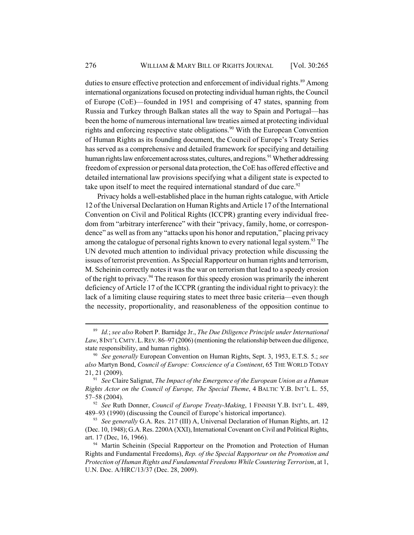duties to ensure effective protection and enforcement of individual rights.<sup>89</sup> Among international organizations focused on protecting individual human rights, the Council of Europe (CoE)—founded in 1951 and comprising of 47 states, spanning from Russia and Turkey through Balkan states all the way to Spain and Portugal—has been the home of numerous international law treaties aimed at protecting individual rights and enforcing respective state obligations.<sup>90</sup> With the European Convention of Human Rights as its founding document, the Council of Europe's Treaty Series has served as a comprehensive and detailed framework for specifying and detailing human rights law enforcement across states, cultures, and regions.<sup>91</sup> Whether addressing freedom of expression or personal data protection, the CoE has offered effective and detailed international law provisions specifying what a diligent state is expected to take upon itself to meet the required international standard of due care.<sup>92</sup>

Privacy holds a well-established place in the human rights catalogue, with Article 12 of the Universal Declaration on Human Rights and Article 17 of the International Convention on Civil and Political Rights (ICCPR) granting every individual freedom from "arbitrary interference" with their "privacy, family, home, or correspondence" as well as from any "attacks upon his honor and reputation," placing privacy among the catalogue of personal rights known to every national legal system.<sup>93</sup> The UN devoted much attention to individual privacy protection while discussing the issues of terrorist prevention. As Special Rapporteur on human rights and terrorism, M. Scheinin correctly notes it was the war on terrorism that lead to a speedy erosion of the right to privacy.<sup>94</sup> The reason for this speedy erosion was primarily the inherent deficiency of Article 17 of the ICCPR (granting the individual right to privacy): the lack of a limiting clause requiring states to meet three basic criteria—even though the necessity, proportionality, and reasonableness of the opposition continue to

<sup>89</sup> *Id.*; *see also* Robert P. Barnidge Jr., *The Due Diligence Principle under International* Law, 8 INT'L CMTY. L. REV. 86–97 (2006) (mentioning the relationship between due diligence, state responsibility, and human rights).

<sup>90</sup> *See generally* European Convention on Human Rights, Sept. 3, 1953, E.T.S. 5.; *see also* Martyn Bond, *Council of Europe: Conscience of a Continent*, 65 THE WORLD TODAY 21, 21 (2009).

<sup>91</sup> *See* Claire Salignat, *The Impact of the Emergence of the European Union as a Human Rights Actor on the Council of Europe, The Special Theme*, 4 BALTIC Y.B. INT'L L. 55, 57–58 (2004).

<sup>92</sup> *See* Ruth Donner, *Council of Europe Treaty-Making*, 1 FINNISH Y.B. INT'L L. 489, 489–93 (1990) (discussing the Council of Europe's historical importance).

<sup>93</sup> *See generally* G.A. Res. 217 (III) A, Universal Declaration of Human Rights, art. 12 (Dec. 10, 1948); G.A. Res. 2200A (XXI), International Covenant on Civil and Political Rights, art. 17 (Dec, 16, 1966).

<sup>&</sup>lt;sup>94</sup> Martin Scheinin (Special Rapporteur on the Promotion and Protection of Human Rights and Fundamental Freedoms), *Rep. of the Special Rapporteur on the Promotion and Protection of Human Rights and Fundamental Freedoms While Countering Terrorism*, at 1, U.N. Doc. A/HRC/13/37 (Dec. 28, 2009).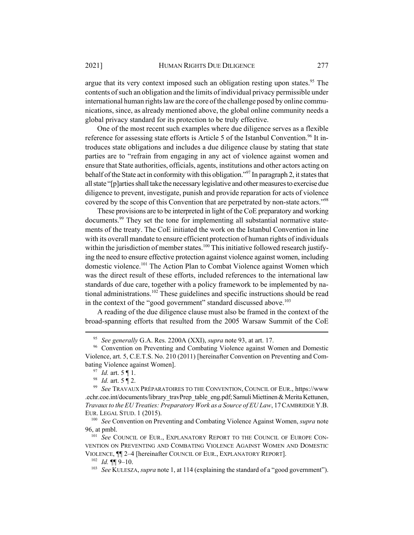argue that its very context imposed such an obligation resting upon states.<sup>95</sup> The contents of such an obligation and the limits of individual privacy permissible under international human rights law are the core of the challenge posed by online communications, since, as already mentioned above, the global online community needs a global privacy standard for its protection to be truly effective.

One of the most recent such examples where due diligence serves as a flexible reference for assessing state efforts is Article 5 of the Istanbul Convention.<sup>96</sup> It introduces state obligations and includes a due diligence clause by stating that state parties are to "refrain from engaging in any act of violence against women and ensure that State authorities, officials, agents, institutions and other actors acting on behalf of the State act in conformity with this obligation."<sup>97</sup> In paragraph 2, it states that all state "[p]arties shall take the necessary legislative and other measures to exercise due diligence to prevent, investigate, punish and provide reparation for acts of violence covered by the scope of this Convention that are perpetrated by non-state actors."98

These provisions are to be interpreted in light of the CoE preparatory and working documents.<sup>99</sup> They set the tone for implementing all substantial normative statements of the treaty. The CoE initiated the work on the Istanbul Convention in line with its overall mandate to ensure efficient protection of human rights of individuals within the jurisdiction of member states.<sup>100</sup> This initiative followed research justifying the need to ensure effective protection against violence against women, including domestic violence.<sup>101</sup> The Action Plan to Combat Violence against Women which was the direct result of these efforts, included references to the international law standards of due care, together with a policy framework to be implemented by national administrations.<sup>102</sup> These guidelines and specific instructions should be read in the context of the "good government" standard discussed above.<sup>103</sup>

A reading of the due diligence clause must also be framed in the context of the broad-spanning efforts that resulted from the 2005 Warsaw Summit of the CoE

<sup>95</sup> *See generally* G.A. Res. 2200A (XXI), *supra* note 93, at art. 17.

<sup>&</sup>lt;sup>96</sup> Convention on Preventing and Combating Violence against Women and Domestic Violence, art. 5, C.E.T.S. No. 210 (2011) [hereinafter Convention on Preventing and Combating Violence against Women].

<sup>97</sup> *Id.* art. 5 ¶ 1.

<sup>98</sup> *Id.* art. 5 ¶ 2.

<sup>99</sup> *See* TRAVAUX PRÉPARATOIRES TO THE CONVENTION, COUNCIL OF EUR., https://www .echr.coe.int/documents/library\_travPrep\_table\_eng.pdf; Samuli Miettinen & Merita Kettunen, *Travaux to the EU Treaties: Preparatory Work as a Source of EU Law*, 17CAMBRIDGE Y.B. EUR. LEGAL STUD. 1 (2015).

<sup>100</sup> *See* Convention on Preventing and Combating Violence Against Women, *supra* note 96, at pmbl.

<sup>&</sup>lt;sup>101</sup> See COUNCIL OF EUR., EXPLANATORY REPORT TO THE COUNCIL OF EUROPE CON-VENTION ON PREVENTING AND COMBATING VIOLENCE AGAINST WOMEN AND DOMESTIC VIOLENCE, ¶¶ 2–4 [hereinafter COUNCIL OF EUR., EXPLANATORY REPORT].

<sup>102</sup> *Id.* ¶¶ 9–10.

<sup>&</sup>lt;sup>103</sup> *See* KULESZA, *supra* note 1, at 114 (explaining the standard of a "good government").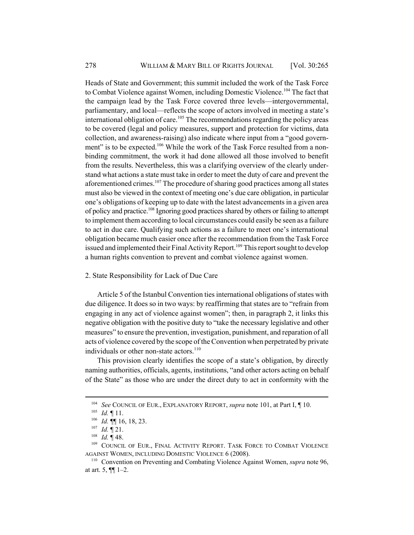Heads of State and Government; this summit included the work of the Task Force to Combat Violence against Women, including Domestic Violence.<sup>104</sup> The fact that the campaign lead by the Task Force covered three levels—intergovernmental, parliamentary, and local—reflects the scope of actors involved in meeting a state's  $\frac{1}{100}$  international obligation of care.<sup>105</sup> The recommendations regarding the policy areas to be covered (legal and policy measures, support and protection for victims, data collection, and awareness-raising) also indicate where input from a "good government" is to be expected.<sup>106</sup> While the work of the Task Force resulted from a nonbinding commitment, the work it had done allowed all those involved to benefit from the results. Nevertheless, this was a clarifying overview of the clearly understand what actions a state must take in order to meet the duty of care and prevent the aforementioned crimes.<sup>107</sup> The procedure of sharing good practices among all states must also be viewed in the context of meeting one's due care obligation, in particular one's obligations of keeping up to date with the latest advancements in a given area of policy and practice.<sup>108</sup> Ignoring good practices shared by others or failing to attempt to implement them according to local circumstances could easily be seen as a failure to act in due care. Qualifying such actions as a failure to meet one's international obligation became much easier once after the recommendation from the Task Force issued and implemented their Final Activity Report.<sup>109</sup> This report sought to develop a human rights convention to prevent and combat violence against women.

## 2. State Responsibility for Lack of Due Care

Article 5 of the Istanbul Convention ties international obligations of states with due diligence. It does so in two ways: by reaffirming that states are to "refrain from engaging in any act of violence against women"; then, in paragraph 2, it links this negative obligation with the positive duty to "take the necessary legislative and other measures" to ensure the prevention, investigation, punishment, and reparation of all acts of violence covered by the scope of the Convention when perpetrated by private individuals or other non-state actors.<sup>110</sup>

This provision clearly identifies the scope of a state's obligation, by directly naming authorities, officials, agents, institutions, "and other actors acting on behalf of the State" as those who are under the direct duty to act in conformity with the

<sup>104</sup> *See* COUNCIL OF EUR., EXPLANATORY REPORT, *supra* note 101, at Part I, ¶ 10.

<sup>105</sup> *Id.* ¶ 11.

<sup>106</sup> *Id.* ¶¶ 16, 18, 23.

<sup>107</sup> *Id.* ¶ 21.

<sup>108</sup> *Id.* ¶ 48.

<sup>&</sup>lt;sup>109</sup> COUNCIL OF EUR., FINAL ACTIVITY REPORT. TASK FORCE TO COMBAT VIOLENCE AGAINST WOMEN, INCLUDING DOMESTIC VIOLENCE 6 (2008).

<sup>110</sup> Convention on Preventing and Combating Violence Against Women, *supra* note 96, at art.  $5, \P\P$  1–2.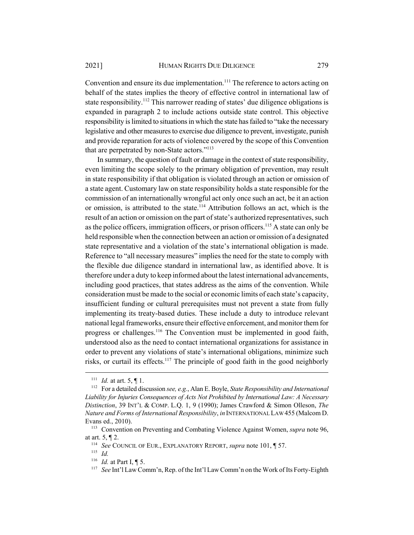Convention and ensure its due implementation.<sup>111</sup> The reference to actors acting on behalf of the states implies the theory of effective control in international law of state responsibility.<sup>112</sup> This narrower reading of states' due diligence obligations is expanded in paragraph 2 to include actions outside state control. This objective responsibility is limited to situations in which the state has failed to "take the necessary legislative and other measures to exercise due diligence to prevent, investigate, punish and provide reparation for acts of violence covered by the scope of this Convention that are perpetrated by non-State actors."<sup>113</sup>

In summary, the question of fault or damage in the context of state responsibility, even limiting the scope solely to the primary obligation of prevention, may result in state responsibility if that obligation is violated through an action or omission of a state agent. Customary law on state responsibility holds a state responsible for the commission of an internationally wrongful act only once such an act, be it an action or omission, is attributed to the state.<sup>114</sup> Attribution follows an act, which is the result of an action or omission on the part of state's authorized representatives, such as the police officers, immigration officers, or prison officers.<sup>115</sup> A state can only be held responsible when the connection between an action or omission of a designated state representative and a violation of the state's international obligation is made. Reference to "all necessary measures" implies the need for the state to comply with the flexible due diligence standard in international law, as identified above. It is therefore under a duty to keep informed about the latest international advancements, including good practices, that states address as the aims of the convention. While consideration must be made to the social or economic limits of each state's capacity, insufficient funding or cultural prerequisites must not prevent a state from fully implementing its treaty-based duties. These include a duty to introduce relevant national legal frameworks, ensure their effective enforcement, and monitor them for progress or challenges.<sup>116</sup> The Convention must be implemented in good faith, understood also as the need to contact international organizations for assistance in order to prevent any violations of state's international obligations, minimize such risks, or curtail its effects.<sup>117</sup> The principle of good faith in the good neighborly

<sup>111</sup> *Id.* at art. 5, ¶ 1.

<sup>112</sup> For a detailed discussion *see, e.g.*, Alan E. Boyle, *State Responsibility and International Liability for Injuries Consequences of Acts Not Prohibited by International Law: A Necessary Distinction*, 39 INT'L & COMP. L.Q. 1, 9 (1990); James Crawford & Simon Olleson, *The Nature and Forms of International Responsibility*, *in* INTERNATIONAL LAW 455 (Malcom D. Evans ed., 2010).

<sup>113</sup> Convention on Preventing and Combating Violence Against Women, *supra* note 96, at art. 5, ¶ 2.

<sup>114</sup> *See* COUNCIL OF EUR., EXPLANATORY REPORT, *supra* note 101, ¶ 57.

<sup>115</sup> *Id.*

<sup>116</sup> *Id.* at Part I, ¶ 5.

<sup>117</sup> *See* Int'l Law Comm'n, Rep. of the Int'l Law Comm'n on the Work of Its Forty-Eighth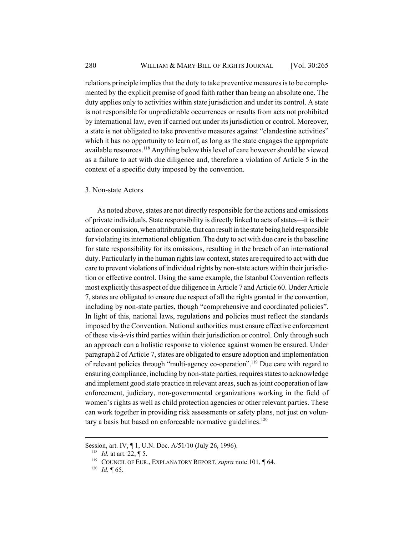relations principle implies that the duty to take preventive measures is to be complemented by the explicit premise of good faith rather than being an absolute one. The duty applies only to activities within state jurisdiction and under its control. A state is not responsible for unpredictable occurrences or results from acts not prohibited by international law, even if carried out under its jurisdiction or control. Moreover, a state is not obligated to take preventive measures against "clandestine activities" which it has no opportunity to learn of, as long as the state engages the appropriate available resources.<sup>118</sup> Anything below this level of care however should be viewed as a failure to act with due diligence and, therefore a violation of Article 5 in the context of a specific duty imposed by the convention.

#### 3. Non-state Actors

As noted above, states are not directly responsible for the actions and omissions of private individuals. State responsibility is directly linked to acts of states—it is their action or omission, when attributable, that can result in the state being held responsible for violating its international obligation. The duty to act with due care is the baseline for state responsibility for its omissions, resulting in the breach of an international duty. Particularly in the human rights law context, states are required to act with due care to prevent violations of individual rights by non-state actors within their jurisdiction or effective control. Using the same example, the Istanbul Convention reflects most explicitly this aspect of due diligence in Article 7 and Article 60. Under Article 7, states are obligated to ensure due respect of all the rights granted in the convention, including by non-state parties, though "comprehensive and coordinated policies". In light of this, national laws, regulations and policies must reflect the standards imposed by the Convention. National authorities must ensure effective enforcement of these vis-à-vis third parties within their jurisdiction or control. Only through such an approach can a holistic response to violence against women be ensured. Under paragraph 2 of Article 7, states are obligated to ensure adoption and implementation of relevant policies through "multi-agency co-operation".119 Due care with regard to ensuring compliance, including by non-state parties, requires states to acknowledge and implement good state practice in relevant areas, such as joint cooperation of law enforcement, judiciary, non-governmental organizations working in the field of women's rights as well as child protection agencies or other relevant parties. These can work together in providing risk assessments or safety plans, not just on voluntary a basis but based on enforceable normative guidelines.<sup>120</sup>

Session, art. IV, ¶ 1, U.N. Doc. A/51/10 (July 26, 1996).

<sup>118</sup> *Id.* at art. 22, ¶ 5.

<sup>119</sup> COUNCIL OF EUR., EXPLANATORY REPORT, *supra* note 101, ¶ 64.

 $120$  *Id.* 165.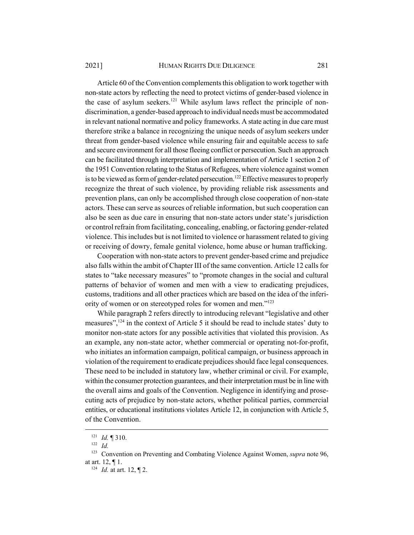Article 60 of the Convention complements this obligation to work together with non-state actors by reflecting the need to protect victims of gender-based violence in the case of asylum seekers.<sup>121</sup> While asylum laws reflect the principle of nondiscrimination, a gender-based approach to individual needs must be accommodated in relevant national normative and policy frameworks. A state acting in due care must therefore strike a balance in recognizing the unique needs of asylum seekers under threat from gender-based violence while ensuring fair and equitable access to safe and secure environment for all those fleeing conflict or persecution. Such an approach can be facilitated through interpretation and implementation of Article 1 section 2 of the 1951 Convention relating to the Status of Refugees, where violence against women is to be viewed as form of gender-related persecution.<sup>122</sup> Effective measures to properly recognize the threat of such violence, by providing reliable risk assessments and prevention plans, can only be accomplished through close cooperation of non-state actors. These can serve as sources of reliable information, but such cooperation can also be seen as due care in ensuring that non-state actors under state's jurisdiction or control refrain from facilitating, concealing, enabling, or factoring gender-related violence. This includes but is not limited to violence or harassment related to giving or receiving of dowry, female genital violence, home abuse or human trafficking.

Cooperation with non-state actors to prevent gender-based crime and prejudice also falls within the ambit of Chapter III of the same convention. Article 12 calls for states to "take necessary measures" to "promote changes in the social and cultural patterns of behavior of women and men with a view to eradicating prejudices, customs, traditions and all other practices which are based on the idea of the inferiority of women or on stereotyped roles for women and men."<sup>123</sup>

While paragraph 2 refers directly to introducing relevant "legislative and other measures",<sup>124</sup> in the context of Article 5 it should be read to include states' duty to monitor non-state actors for any possible activities that violated this provision. As an example, any non-state actor, whether commercial or operating not-for-profit, who initiates an information campaign, political campaign, or business approach in violation of the requirement to eradicate prejudices should face legal consequences. These need to be included in statutory law, whether criminal or civil. For example, within the consumer protection guarantees, and their interpretation must be in line with the overall aims and goals of the Convention. Negligence in identifying and prosecuting acts of prejudice by non-state actors, whether political parties, commercial entities, or educational institutions violates Article 12, in conjunction with Article 5, of the Convention.

<sup>121</sup> *Id.* ¶ 310.

<sup>122</sup> *Id.*

<sup>123</sup> Convention on Preventing and Combating Violence Against Women, *supra* note 96, at art. 12, ¶ 1.

<sup>124</sup> *Id.* at art. 12, ¶ 2.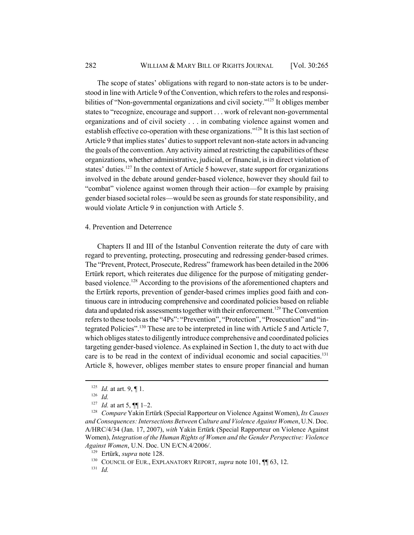The scope of states' obligations with regard to non-state actors is to be understood in line with Article 9 of the Convention, which refers to the roles and responsibilities of "Non-governmental organizations and civil society."<sup>125</sup> It obliges member states to "recognize, encourage and support . . . work of relevant non-governmental organizations and of civil society . . . in combating violence against women and establish effective co-operation with these organizations."<sup>126</sup> It is this last section of Article 9 that implies states' duties to support relevant non-state actors in advancing the goals of the convention. Any activity aimed at restricting the capabilities of these organizations, whether administrative, judicial, or financial, is in direct violation of states' duties.<sup>127</sup> In the context of Article 5 however, state support for organizations involved in the debate around gender-based violence, however they should fail to "combat" violence against women through their action—for example by praising gender biased societal roles—would be seen as grounds for state responsibility, and would violate Article 9 in conjunction with Article 5.

## 4. Prevention and Deterrence

Chapters II and III of the Istanbul Convention reiterate the duty of care with regard to preventing, protecting, prosecuting and redressing gender-based crimes. The "Prevent, Protect, Prosecute, Redress" framework has been detailed in the 2006 Ertürk report, which reiterates due diligence for the purpose of mitigating genderbased violence.<sup>128</sup> According to the provisions of the aforementioned chapters and the Ertürk reports, prevention of gender-based crimes implies good faith and continuous care in introducing comprehensive and coordinated policies based on reliable data and updated risk assessments together with their enforcement.<sup>129</sup> The Convention refers to these tools as the "4Ps": "Prevention", "Protection", "Prosecution" and "integrated Policies".130 These are to be interpreted in line with Article 5 and Article 7, which obliges states to diligently introduce comprehensive and coordinated policies targeting gender-based violence. As explained in Section 1, the duty to act with due care is to be read in the context of individual economic and social capacities.<sup>131</sup> Article 8, however, obliges member states to ensure proper financial and human

<sup>131</sup> *Id.*

<sup>&</sup>lt;sup>125</sup> *Id.* at art. 9, ¶ 1.

<sup>126</sup> *Id.*

<sup>127</sup> *Id.* at art 5, ¶¶ 1–2.

<sup>128</sup> *Compare* Yakin Ertürk (Special Rapporteur on Violence Against Women), *Its Causes and Consequences: Intersections Between Culture and Violence Against Women*, U.N. Doc. A/HRC/4/34 (Jan. 17, 2007), *with* Yakin Ertürk (Special Rapporteur on Violence Against Women), *Integration of the Human Rights of Women and the Gender Perspective: Violence Against Women*, U.N. Doc. UN E/CN.4/2006/.

<sup>129</sup> Ertürk, *supra* note 128.

<sup>&</sup>lt;sup>130</sup> COUNCIL OF EUR., EXPLANATORY REPORT, *supra* note 101, **[1]** 63, 12.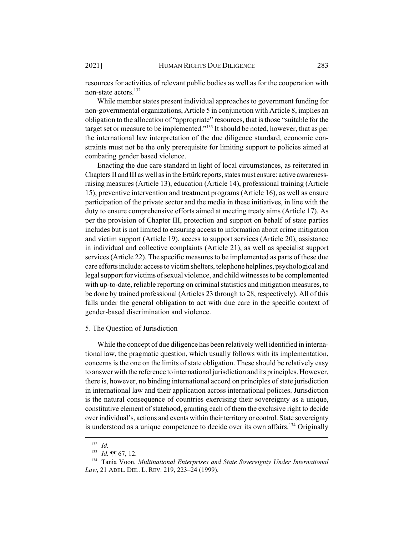resources for activities of relevant public bodies as well as for the cooperation with non-state actors.<sup>132</sup>

While member states present individual approaches to government funding for non-governmental organizations, Article 5 in conjunction with Article 8, implies an obligation to the allocation of "appropriate" resources, that is those "suitable for the target set or measure to be implemented."<sup>133</sup> It should be noted, however, that as per the international law interpretation of the due diligence standard, economic constraints must not be the only prerequisite for limiting support to policies aimed at combating gender based violence.

Enacting the due care standard in light of local circumstances, as reiterated in Chapters II and III as well as in the Ertürk reports, states must ensure: active awarenessraising measures (Article 13), education (Article 14), professional training (Article 15), preventive intervention and treatment programs (Article 16), as well as ensure participation of the private sector and the media in these initiatives, in line with the duty to ensure comprehensive efforts aimed at meeting treaty aims (Article 17). As per the provision of Chapter III, protection and support on behalf of state parties includes but is not limited to ensuring access to information about crime mitigation and victim support (Article 19), access to support services (Article 20), assistance in individual and collective complaints (Article 21), as well as specialist support services (Article 22). The specific measures to be implemented as parts of these due care efforts include: access to victim shelters, telephone helplines, psychological and legal support for victims of sexual violence, and child witnesses to be complemented with up-to-date, reliable reporting on criminal statistics and mitigation measures, to be done by trained professional (Articles 23 through to 28, respectively). All of this falls under the general obligation to act with due care in the specific context of gender-based discrimination and violence.

#### 5. The Question of Jurisdiction

While the concept of due diligence has been relatively well identified in international law, the pragmatic question, which usually follows with its implementation, concerns is the one on the limits of state obligation. These should be relatively easy to answer with the reference to international jurisdiction and its principles. However, there is, however, no binding international accord on principles of state jurisdiction in international law and their application across international policies. Jurisdiction is the natural consequence of countries exercising their sovereignty as a unique, constitutive element of statehood, granting each of them the exclusive right to decide over individual's, actions and events within their territory or control. State sovereignty is understood as a unique competence to decide over its own affairs.<sup>134</sup> Originally

<sup>132</sup> *Id.*

<sup>133</sup> *Id.* ¶¶ 67, 12.

<sup>134</sup> Tania Voon, *Multinational Enterprises and State Sovereignty Under International Law*, 21 ADEL. DEL. L. REV. 219, 223–24 (1999).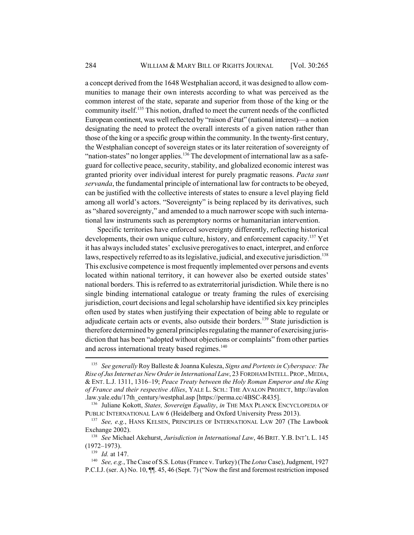a concept derived from the 1648 Westphalian accord, it was designed to allow communities to manage their own interests according to what was perceived as the common interest of the state, separate and superior from those of the king or the community itself.135 This notion, drafted to meet the current needs of the conflicted European continent, was well reflected by "raison d'état" (national interest)—a notion designating the need to protect the overall interests of a given nation rather than those of the king or a specific group within the community. In the twenty-first century, the Westphalian concept of sovereign states or its later reiteration of sovereignty of "nation-states" no longer applies.<sup>136</sup> The development of international law as a safeguard for collective peace, security, stability, and globalized economic interest was granted priority over individual interest for purely pragmatic reasons. *Pacta sunt servanda*, the fundamental principle of international law for contracts to be obeyed, can be justified with the collective interests of states to ensure a level playing field among all world's actors. "Sovereignty" is being replaced by its derivatives, such as "shared sovereignty," and amended to a much narrower scope with such international law instruments such as peremptory norms or humanitarian intervention.

Specific territories have enforced sovereignty differently, reflecting historical developments, their own unique culture, history, and enforcement capacity.<sup>137</sup> Yet it has always included states' exclusive prerogatives to enact, interpret, and enforce laws, respectively referred to as its legislative, judicial, and executive jurisdiction.<sup>138</sup> This exclusive competence is most frequently implemented over persons and events located within national territory, it can however also be exerted outside states' national borders. This is referred to as extraterritorial jurisdiction. While there is no single binding international catalogue or treaty framing the rules of exercising jurisdiction, court decisions and legal scholarship have identified six key principles often used by states when justifying their expectation of being able to regulate or adjudicate certain acts or events, also outside their borders.<sup>139</sup> State jurisdiction is therefore determined by general principles regulating the manner of exercising jurisdiction that has been "adopted without objections or complaints" from other parties and across international treaty based regimes.<sup>140</sup>

<sup>135</sup> *See generally* Roy Balleste & Joanna Kulesza, *Signs and Portents in Cyberspace: The Rise of Jus Internet as New Order in International Law*, 23 FORDHAM INTELL.PROP.,MEDIA, & ENT. L.J. 1311, 1316–19; *Peace Treaty between the Holy Roman Emperor and the King of France and their respective Allies*, YALE L. SCH.: THE AVALON PROJECT, http://avalon .law.yale.edu/17th\_century/westphal.asp [https://perma.cc/4BSC-R435].

<sup>136</sup> Juliane Kokott, *States, Sovereign Equality*, *in* THE MAX PLANCK ENCYCLOPEDIA OF PUBLIC INTERNATIONAL LAW 6 (Heidelberg and Oxford University Press 2013).

<sup>137</sup> *See, e.g.*, HANS KELSEN, PRINCIPLES OF INTERNATIONAL LAW 207 (The Lawbook Exchange 2002).

<sup>138</sup> *See* Michael Akehurst, *Jurisdiction in International Law*, 46 BRIT. Y.B. INT'L L. 145 (1972–1973).

<sup>139</sup> *Id.* at 147.

<sup>140</sup> *See, e.g.*, The Case of S.S. Lotus (France v. Turkey) (The *Lotus* Case), Judgment, 1927 P.C.I.J. (ser. A) No. 10,  $\P$ . 45, 46 (Sept. 7) ("Now the first and foremost restriction imposed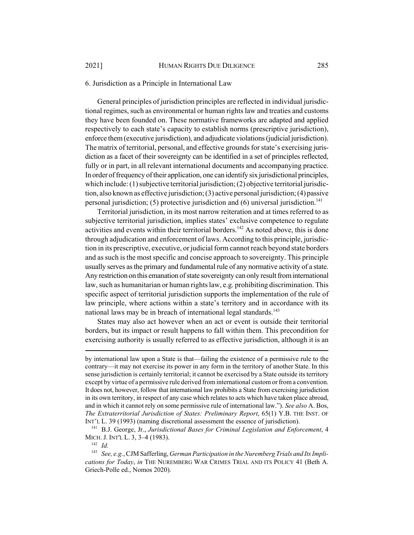## 6. Jurisdiction as a Principle in International Law

General principles of jurisdiction principles are reflected in individual jurisdictional regimes, such as environmental or human rights law and treaties and customs they have been founded on. These normative frameworks are adapted and applied respectively to each state's capacity to establish norms (prescriptive jurisdiction), enforce them (executive jurisdiction), and adjudicate violations (judicial jurisdiction). The matrix of territorial, personal, and effective grounds for state's exercising jurisdiction as a facet of their sovereignty can be identified in a set of principles reflected, fully or in part, in all relevant international documents and accompanying practice. In order of frequency of their application, one can identify six jurisdictional principles, which include: (1) subjective territorial jurisdiction; (2) objective territorial jurisdiction, also known as effective jurisdiction; (3) active personal jurisdiction; (4) passive personal jurisdiction; (5) protective jurisdiction and (6) universal jurisdiction.<sup>141</sup>

Territorial jurisdiction, in its most narrow reiteration and at times referred to as subjective territorial jurisdiction, implies states' exclusive competence to regulate activities and events within their territorial borders.<sup>142</sup> As noted above, this is done through adjudication and enforcement of laws. According to this principle, jurisdiction in its prescriptive, executive, or judicial form cannot reach beyond state borders and as such is the most specific and concise approach to sovereignty. This principle usually serves as the primary and fundamental rule of any normative activity of a state. Any restriction on this emanation of state sovereignty can only result from international law, such as humanitarian or human rights law, e.g. prohibiting discrimination. This specific aspect of territorial jurisdiction supports the implementation of the rule of law principle, where actions within a state's territory and in accordance with its national laws may be in breach of international legal standards.<sup>143</sup>

States may also act however when an act or event is outside their territorial borders, but its impact or result happens to fall within them. This precondition for exercising authority is usually referred to as effective jurisdiction, although it is an

<sup>142</sup> *Id.*

by international law upon a State is that—failing the existence of a permissive rule to the contrary—it may not exercise its power in any form in the territory of another State. In this sense jurisdiction is certainly territorial; it cannot be exercised by a State outside its territory except by virtue of a permissive rule derived from international custom or from a convention. It does not, however, follow that international law prohibits a State from exercising jurisdiction in its own territory, in respect of any case which relates to acts which have taken place abroad, and in which it cannot rely on some permissive rule of international law."). *See also* A. Bos, *The Extraterritorial Jurisdiction of States: Preliminary Report*, 65(1) Y.B. THE INST. OF INT'L L. 39 (1993) (naming discretional assessment the essence of jurisdiction).

<sup>141</sup> B.J. George, Jr., *Jurisdictional Bases for Criminal Legislation and Enforcement*, 4 MICH. J. INT'L L. 3, 3–4 (1983).

<sup>143</sup> *See, e.g.*, CJM Safferling, *German Participation in the Nuremberg Trials and Its Implications for Today*, *in* THE NUREMBERG WAR CRIMES TRIAL AND ITS POLICY 41 (Beth A. Griech-Polle ed., Nomos 2020).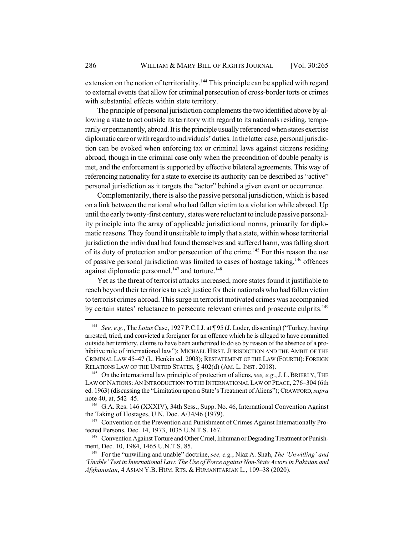extension on the notion of territoriality.<sup>144</sup> This principle can be applied with regard to external events that allow for criminal persecution of cross-border torts or crimes with substantial effects within state territory.

The principle of personal jurisdiction complements the two identified above by allowing a state to act outside its territory with regard to its nationals residing, temporarily or permanently, abroad. It is the principle usually referenced when states exercise diplomatic care or with regard to individuals' duties. In the latter case, personal jurisdiction can be evoked when enforcing tax or criminal laws against citizens residing abroad, though in the criminal case only when the precondition of double penalty is met, and the enforcement is supported by effective bilateral agreements. This way of referencing nationality for a state to exercise its authority can be described as "active" personal jurisdiction as it targets the "actor" behind a given event or occurrence.

Complementarily, there is also the passive personal jurisdiction, which is based on a link between the national who had fallen victim to a violation while abroad. Up until the early twenty-first century, states were reluctant to include passive personality principle into the array of applicable jurisdictional norms, primarily for diplomatic reasons. They found it unsuitable to imply that a state, within whose territorial jurisdiction the individual had found themselves and suffered harm, was falling short of its duty of protection and/or persecution of the crime.<sup>145</sup> For this reason the use of passive personal jurisdiction was limited to cases of hostage taking,146 offences against diplomatic personnel,<sup>147</sup> and torture.<sup>148</sup>

Yet as the threat of terrorist attacks increased, more states found it justifiable to reach beyond their territories to seek justice for their nationals who had fallen victim to terrorist crimes abroad. This surge in terrorist motivated crimes was accompanied by certain states' reluctance to persecute relevant crimes and prosecute culprits.<sup>149</sup>

<sup>144</sup> *See, e.g.*, The *Lotus* Case, 1927 P.C.I.J. at ¶ 95 (J. Loder, dissenting) ("Turkey, having arrested, tried, and convicted a foreigner for an offence which he is alleged to have committed outside her territory, claims to have been authorized to do so by reason of the absence of a prohibitive rule of international law"); MICHAEL HIRST, JURISDICTION AND THE AMBIT OF THE CRIMINAL LAW 45–47 (L. Henkin ed. 2003); RESTATEMENT OF THE LAW (FOURTH): FOREIGN RELATIONS LAW OF THE UNITED STATES, § 402(d) (AM. L. INST. 2018).

<sup>145</sup> On the international law principle of protection of aliens, *see, e.g.*, J.L.BRIERLY, THE LAW OF NATIONS: AN INTRODUCTION TO THE INTERNATIONAL LAW OF PEACE, 276–304 (6th ed. 1963) (discussing the "Limitation upon a State's Treatment of Aliens"); CRAWFORD,*supra* note 40, at, 542–45.

<sup>&</sup>lt;sup>146</sup> G.A. Res. 146 (XXXIV), 34th Sess., Supp. No. 46, International Convention Against the Taking of Hostages, U.N. Doc. A/34/46 (1979).

<sup>&</sup>lt;sup>147</sup> Convention on the Prevention and Punishment of Crimes Against Internationally Protected Persons, Dec. 14, 1973, 1035 U.N.T.S. 167.

<sup>&</sup>lt;sup>148</sup> Convention Against Torture and Other Cruel, Inhuman or Degrading Treatment or Punishment, Dec. 10, 1984, 1465 U.N.T.S. 85.

<sup>149</sup> For the "unwilling and unable" doctrine, *see, e.g.*, Niaz A. Shah, *The 'Unwilling' and 'Unable' Test in International Law: The Use of Force against Non-State Actors in Pakistan and Afghanistan*, 4 ASIAN Y.B. HUM. RTS. & HUMANITARIAN L., 109–38 (2020).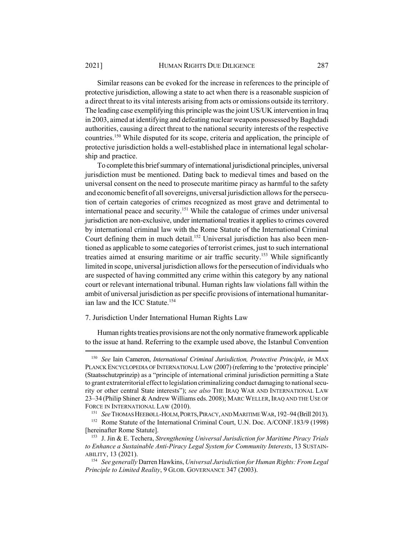Similar reasons can be evoked for the increase in references to the principle of protective jurisdiction, allowing a state to act when there is a reasonable suspicion of a direct threat to its vital interests arising from acts or omissions outside its territory. The leading case exemplifying this principle was the joint US/UK intervention in Iraq in 2003, aimed at identifying and defeating nuclear weapons possessed by Baghdadi authorities, causing a direct threat to the national security interests of the respective countries.150 While disputed for its scope, criteria and application, the principle of protective jurisdiction holds a well-established place in international legal scholarship and practice.

To complete this brief summary of international jurisdictional principles, universal jurisdiction must be mentioned. Dating back to medieval times and based on the universal consent on the need to prosecute maritime piracy as harmful to the safety and economic benefit of all sovereigns, universal jurisdiction allows for the persecution of certain categories of crimes recognized as most grave and detrimental to international peace and security.151 While the catalogue of crimes under universal jurisdiction are non-exclusive, under international treaties it applies to crimes covered by international criminal law with the Rome Statute of the International Criminal Court defining them in much detail.<sup>152</sup> Universal jurisdiction has also been mentioned as applicable to some categories of terrorist crimes, just to such international treaties aimed at ensuring maritime or air traffic security.<sup>153</sup> While significantly limited in scope, universal jurisdiction allows for the persecution of individuals who are suspected of having committed any crime within this category by any national court or relevant international tribunal. Human rights law violations fall within the ambit of universal jurisdiction as per specific provisions of international humanitarian law and the ICC Statute.<sup>154</sup>

#### 7. Jurisdiction Under International Human Rights Law

Human rights treaties provisions are not the only normative framework applicable to the issue at hand. Referring to the example used above, the Istanbul Convention

<sup>150</sup> *See* Iain Cameron, *International Criminal Jurisdiction, Protective Principle*, *in* MAX PLANCK ENCYCLOPEDIA OF INTERNATIONAL LAW (2007) (referring to the 'protective principle' (Staatsschutzprinzip) as a "principle of international criminal jurisdiction permitting a State to grant extraterritorial effect to legislation criminalizing conduct damaging to national security or other central State interests"); *see also* THE IRAQ WAR AND INTERNATIONAL LAW 23–34 (Philip Shiner & Andrew Williams eds. 2008); MARC WELLER,IRAQ AND THE USE OF FORCE IN INTERNATIONAL LAW (2010).

<sup>151</sup> *See* THOMAS HEEBØLL-HOLM,PORTS,PIRACY, AND MARITIME WAR, 192–94 (Brill 2013).

<sup>&</sup>lt;sup>152</sup> Rome Statute of the International Criminal Court, U.N. Doc. A/CONF.183/9 (1998) [hereinafter Rome Statute].

<sup>153</sup> J. Jin & E. Techera, *Strengthening Universal Jurisdiction for Maritime Piracy Trials to Enhance a Sustainable Anti-Piracy Legal System for Community Interests*, 13 SUSTAIN-ABILITY, 13 (2021).

<sup>154</sup> *See generally* Darren Hawkins, *Universal Jurisdiction for Human Rights: From Legal Principle to Limited Reality*, 9 GLOB. GOVERNANCE 347 (2003).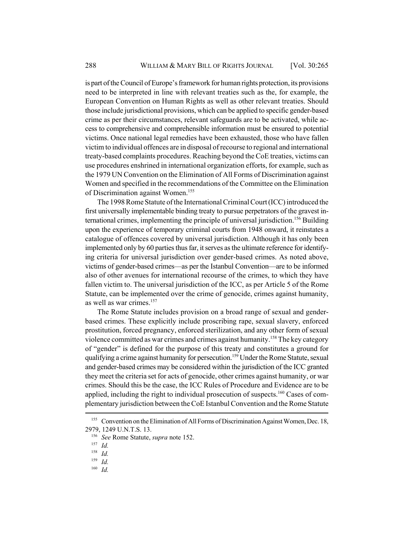is part of the Council of Europe's framework for human rights protection, its provisions need to be interpreted in line with relevant treaties such as the, for example, the European Convention on Human Rights as well as other relevant treaties. Should those include jurisdictional provisions, which can be applied to specific gender-based crime as per their circumstances, relevant safeguards are to be activated, while access to comprehensive and comprehensible information must be ensured to potential victims. Once national legal remedies have been exhausted, those who have fallen victim to individual offences are in disposal of recourse to regional and international treaty-based complaints procedures. Reaching beyond the CoE treaties, victims can use procedures enshrined in international organization efforts, for example, such as the 1979 UN Convention on the Elimination of All Forms of Discrimination against Women and specified in the recommendations of the Committee on the Elimination of Discrimination against Women.<sup>155</sup>

The 1998 Rome Statute of the International Criminal Court (ICC) introduced the first universally implementable binding treaty to pursue perpetrators of the gravest international crimes, implementing the principle of universal jurisdiction.<sup>156</sup> Building upon the experience of temporary criminal courts from 1948 onward, it reinstates a catalogue of offences covered by universal jurisdiction. Although it has only been implemented only by 60 parties thus far, it serves as the ultimate reference for identifying criteria for universal jurisdiction over gender-based crimes. As noted above, victims of gender-based crimes—as per the Istanbul Convention—are to be informed also of other avenues for international recourse of the crimes, to which they have fallen victim to. The universal jurisdiction of the ICC, as per Article 5 of the Rome Statute, can be implemented over the crime of genocide, crimes against humanity, as well as war crimes. $157$ 

The Rome Statute includes provision on a broad range of sexual and genderbased crimes. These explicitly include proscribing rape, sexual slavery, enforced prostitution, forced pregnancy, enforced sterilization, and any other form of sexual violence committed as war crimes and crimes against humanity.158 The key category of "gender" is defined for the purpose of this treaty and constitutes a ground for qualifying a crime against humanity for persecution.<sup>159</sup> Under the Rome Statute, sexual and gender-based crimes may be considered within the jurisdiction of the ICC granted they meet the criteria set for acts of genocide, other crimes against humanity, or war crimes. Should this be the case, the ICC Rules of Procedure and Evidence are to be applied, including the right to individual prosecution of suspects.<sup>160</sup> Cases of complementary jurisdiction between the CoE Istanbul Convention and the Rome Statute

<sup>&</sup>lt;sup>155</sup> Convention on the Elimination of All Forms of Discrimination Against Women, Dec. 18, 2979, 1249 U.N.T.S. 13.

<sup>156</sup> *See* Rome Statute, *supra* note 152.

<sup>157</sup> *Id.*

 $\frac{158}{159}$  *Id.* 

*Id.* 

<sup>160</sup> *Id.*